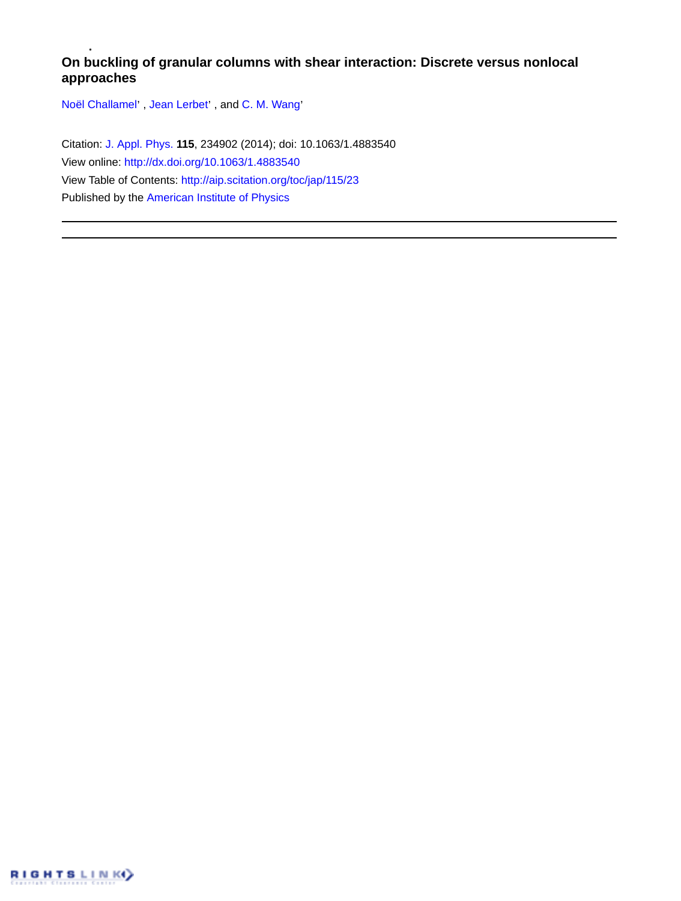# **On buckling of granular columns with shear interaction: Discrete versus nonlocal approaches**

[Noël Challamel](http://aip.scitation.org/author/Challamel%2C+No%C3%ABl)', [Jean Lerbet](http://aip.scitation.org/author/Lerbet%2C+Jean)', and C. M. Wang'

Citation: [J. Appl. Phys.](/loi/jap) **115**, 234902 (2014); doi: 10.1063/1.4883540 View online: <http://dx.doi.org/10.1063/1.4883540> View Table of Contents: <http://aip.scitation.org/toc/jap/115/23> Published by the [American Institute of Physics](http://aip.scitation.org/publisher/)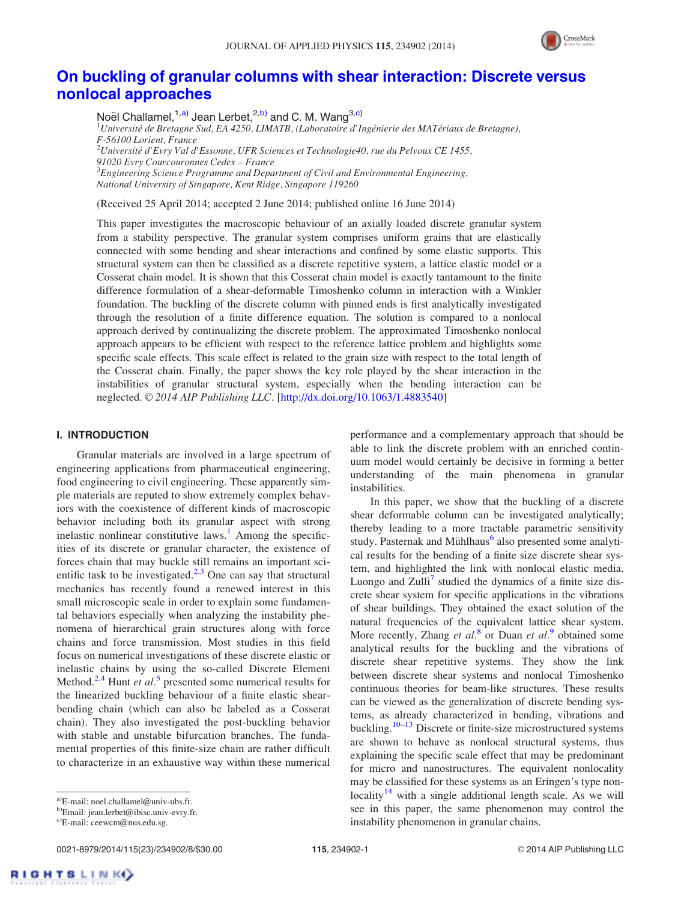

## [On buckling of granular columns with shear interaction: Discrete versus](http://dx.doi.org/10.1063/1.4883540) [nonlocal approaches](http://dx.doi.org/10.1063/1.4883540)

Noël Challamel,  $1, a)$  Jean Lerbet,  $2, b)$  and C. M. Wang  $3, c)$  $^1$ Université de Bretagne Sud, EA 4250, LIMATB, (Laboratoire d'Ingénierie des MATériaux de Bretagne), F-56100 Lorient, France  $^2$ Université d'Evry Val d'Essonne, UFR Sciences et Technologie40, rue du Pelvoux CE 1455, 91020 Evry Courcouronnes Cedex – France  $^3$ Engineering Science Programme and Department of Civil and Environmental Engineering, National University of Singapore, Kent Ridge, Singapore 119260

(Received 25 April 2014; accepted 2 June 2014; published online 16 June 2014)

This paper investigates the macroscopic behaviour of an axially loaded discrete granular system from a stability perspective. The granular system comprises uniform grains that are elastically connected with some bending and shear interactions and confined by some elastic supports. This structural system can then be classified as a discrete repetitive system, a lattice elastic model or a Cosserat chain model. It is shown that this Cosserat chain model is exactly tantamount to the finite difference formulation of a shear-deformable Timoshenko column in interaction with a Winkler foundation. The buckling of the discrete column with pinned ends is first analytically investigated through the resolution of a finite difference equation. The solution is compared to a nonlocal approach derived by continualizing the discrete problem. The approximated Timoshenko nonlocal approach appears to be efficient with respect to the reference lattice problem and highlights some specific scale effects. This scale effect is related to the grain size with respect to the total length of the Cosserat chain. Finally, the paper shows the key role played by the shear interaction in the instabilities of granular structural system, especially when the bending interaction can be neglected. © 2014 AIP Publishing LLC. [\[http://dx.doi.org/10.1063/1.4883540](http://dx.doi.org/10.1063/1.4883540)]

#### I. INTRODUCTION

Granular materials are involved in a large spectrum of engineering applications from pharmaceutical engineering, food engineering to civil engineering. These apparently simple materials are reputed to show extremely complex behaviors with the coexistence of different kinds of macroscopic behavior including both its granular aspect with strong inelastic nonlinear constitutive laws.<sup>[1](#page-7-0)</sup> Among the specificities of its discrete or granular character, the existence of forces chain that may buckle still remains an important sci-entific task to be investigated.<sup>[2,](#page-7-0)[3](#page-8-0)</sup> One can say that structural mechanics has recently found a renewed interest in this small microscopic scale in order to explain some fundamental behaviors especially when analyzing the instability phenomena of hierarchical grain structures along with force chains and force transmission. Most studies in this field focus on numerical investigations of these discrete elastic or inelastic chains by using the so-called Discrete Element Method.<sup>[2,](#page-7-0)[4](#page-8-0)</sup> Hunt *et al.*<sup>[5](#page-8-0)</sup> presented some numerical results for the linearized buckling behaviour of a finite elastic shearbending chain (which can also be labeled as a Cosserat chain). They also investigated the post-buckling behavior with stable and unstable bifurcation branches. The fundamental properties of this finite-size chain are rather difficult to characterize in an exhaustive way within these numerical

**RIGHTSLINK** 

0021-8979/2014/115(23)/234902/8/\$30.00 115, 234902-1 © 2014 AIP Publishing LLC

performance and a complementary approach that should be able to link the discrete problem with an enriched continuum model would certainly be decisive in forming a better understanding of the main phenomena in granular instabilities.

In this paper, we show that the buckling of a discrete shear deformable column can be investigated analytically; thereby leading to a more tractable parametric sensitivity study. Pasternak and Mühlhaus<sup>6</sup> also presented some analytical results for the bending of a finite size discrete shear system, and highlighted the link with nonlocal elastic media. Luongo and Zulli<sup> $\prime$ </sup> studied the dynamics of a finite size discrete shear system for specific applications in the vibrations of shear buildings. They obtained the exact solution of the natural frequencies of the equivalent lattice shear system. More recently, Zhang et  $al^8$  $al^8$  or Duan et  $al^9$  $al^9$  obtained some analytical results for the buckling and the vibrations of discrete shear repetitive systems. They show the link between discrete shear systems and nonlocal Timoshenko continuous theories for beam-like structures. These results can be viewed as the generalization of discrete bending systems, as already characterized in bending, vibrations and buckling.<sup>[10](#page-8-0)–[13](#page-8-0)</sup> Discrete or finite-size microstructured systems are shown to behave as nonlocal structural systems, thus explaining the specific scale effect that may be predominant for micro and nanostructures. The equivalent nonlocality may be classified for these systems as an Eringen's type non-locality<sup>[14](#page-8-0)</sup> with a single additional length scale. As we will see in this paper, the same phenomenon may control the instability phenomenon in granular chains.

a)E-mail: [noel.challamel@univ-ubs.fr](mailto:noel.challamel@univ-ubs.fr).

b)Email: [jean.lerbet@ibisc.univ-evry.fr.](mailto:jean.lerbet@ibisc.univ-evry.fr)

<sup>&</sup>lt;sup>c)</sup>E-mail: [ceewcm@nus.edu.sg](mailto:ceewcm@nus.edu.sg).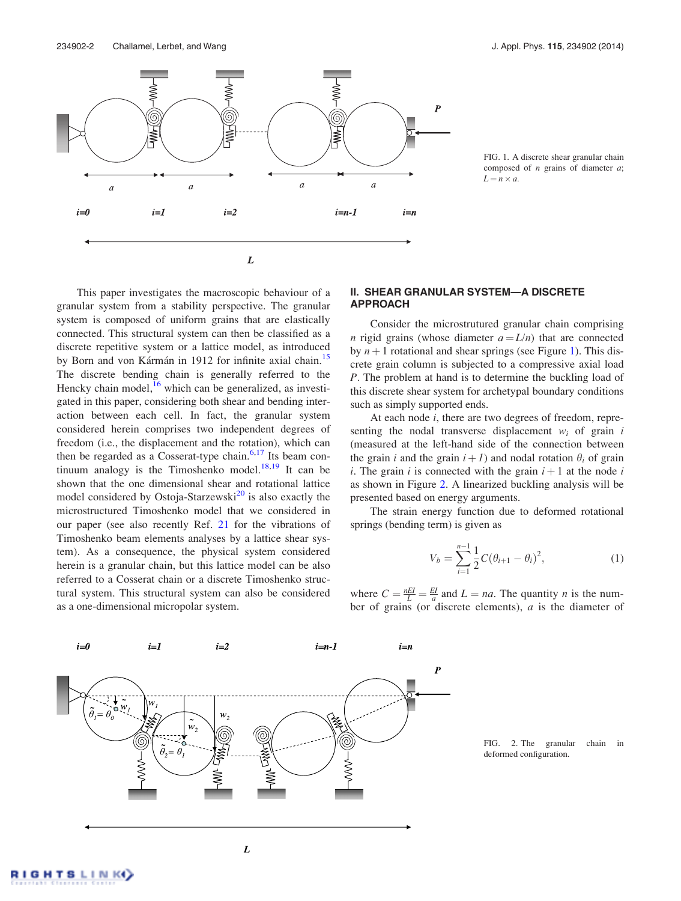

<span id="page-2-0"></span>

FIG. 1. A discrete shear granular chain composed of  $n$  grains of diameter  $a$ ;  $L = n \times a$ 

This paper investigates the macroscopic behaviour of a granular system from a stability perspective. The granular system is composed of uniform grains that are elastically connected. This structural system can then be classified as a discrete repetitive system or a lattice model, as introduced by Born and von Kármán in 1912 for infinite axial chain.<sup>[15](#page-8-0)</sup> The discrete bending chain is generally referred to the Hencky chain model,  $^{16}$  which can be generalized, as investigated in this paper, considering both shear and bending interaction between each cell. In fact, the granular system considered herein comprises two independent degrees of freedom (i.e., the displacement and the rotation), which can then be regarded as a Cosserat-type chain.<sup>[6,17](#page-8-0)</sup> Its beam continuum analogy is the Timoshenko model. $18,19$  $18,19$  $18,19$  It can be shown that the one dimensional shear and rotational lattice model considered by Ostoja-Starzewski<sup>[20](#page-8-0)</sup> is also exactly the microstructured Timoshenko model that we considered in our paper (see also recently Ref. [21](#page-8-0) for the vibrations of Timoshenko beam elements analyses by a lattice shear system). As a consequence, the physical system considered herein is a granular chain, but this lattice model can be also referred to a Cosserat chain or a discrete Timoshenko structural system. This structural system can also be considered as a one-dimensional micropolar system.

### II. SHEAR GRANULAR SYSTEM—A DISCRETE APPROACH

Consider the microstrutured granular chain comprising *n* rigid grains (whose diameter  $a = L/n$ ) that are connected by  $n + 1$  rotational and shear springs (see Figure 1). This discrete grain column is subjected to a compressive axial load P. The problem at hand is to determine the buckling load of this discrete shear system for archetypal boundary conditions such as simply supported ends.

At each node i, there are two degrees of freedom, representing the nodal transverse displacement  $w_i$  of grain i (measured at the left-hand side of the connection between the grain i and the grain  $i + 1$ ) and nodal rotation  $\theta_i$  of grain i. The grain i is connected with the grain  $i + 1$  at the node i as shown in Figure 2. A linearized buckling analysis will be presented based on energy arguments.

The strain energy function due to deformed rotational springs (bending term) is given as

$$
V_b = \sum_{i=1}^{n-1} \frac{1}{2} C (\theta_{i+1} - \theta_i)^2, \tag{1}
$$

where  $C = \frac{nEI}{L} = \frac{EI}{a}$  and  $L = na$ . The quantity *n* is the number of grains (or discrete elements), a is the diameter of





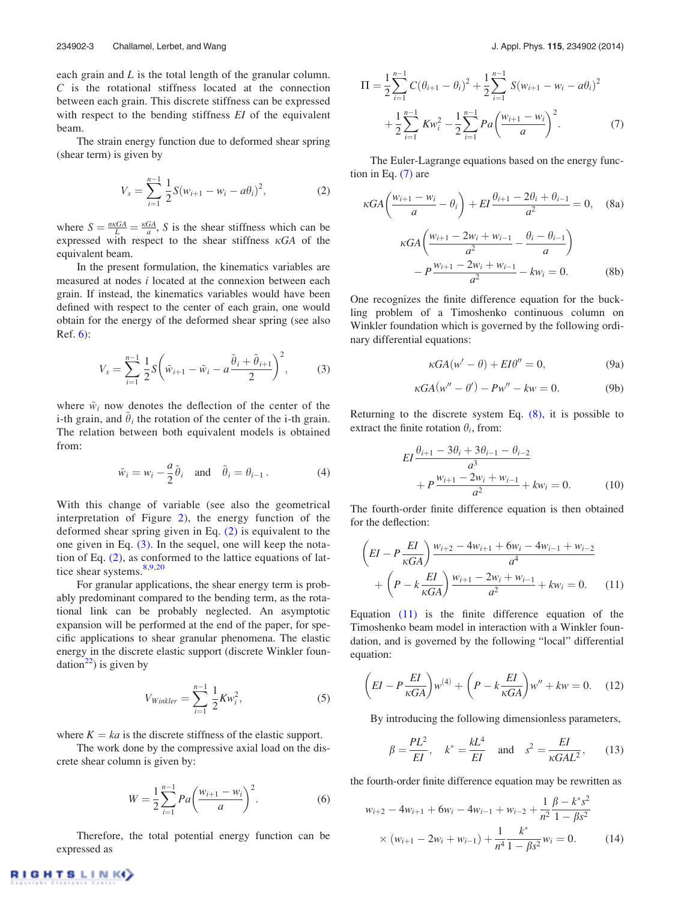<span id="page-3-0"></span>each grain and  $L$  is the total length of the granular column.  $C$  is the rotational stiffness located at the connection between each grain. This discrete stiffness can be expressed with respect to the bending stiffness  $EI$  of the equivalent beam.

The strain energy function due to deformed shear spring (shear term) is given by

$$
V_s = \sum_{i=1}^{n-1} \frac{1}{2} S(w_{i+1} - w_i - a\theta_i)^2, \tag{2}
$$

where  $S = \frac{n \kappa G A}{L} = \frac{\kappa G A}{a}$ , S is the shear stiffness which can be expressed with respect to the shear stiffness  $\kappa GA$  of the equivalent beam.

In the present formulation, the kinematics variables are measured at nodes i located at the connexion between each grain. If instead, the kinematics variables would have been defined with respect to the center of each grain, one would obtain for the energy of the deformed shear spring (see also Ref.  $6$ :

$$
V_s = \sum_{i=1}^{n-1} \frac{1}{2} S \left( \tilde{w}_{i+1} - \tilde{w}_i - a \frac{\tilde{\theta}_i + \tilde{\theta}_{i+1}}{2} \right)^2, \quad (3)
$$

where  $\tilde{w}_i$  now denotes the deflection of the center of the i-th grain, and  $\hat{\theta}_i$  the rotation of the center of the i-th grain. The relation between both equivalent models is obtained from:

$$
\tilde{w}_i = w_i - \frac{a}{2}\tilde{\theta}_i \quad \text{and} \quad \tilde{\theta}_i = \theta_{i-1} \,. \tag{4}
$$

With this change of variable (see also the geometrical interpretation of Figure [2](#page-2-0)), the energy function of the deformed shear spring given in Eq. (2) is equivalent to the one given in Eq. (3). In the sequel, one will keep the notation of Eq. (2), as conformed to the lattice equations of lat-tice shear systems.<sup>[8,9,20](#page-8-0)</sup>

For granular applications, the shear energy term is probably predominant compared to the bending term, as the rotational link can be probably neglected. An asymptotic expansion will be performed at the end of the paper, for specific applications to shear granular phenomena. The elastic energy in the discrete elastic support (discrete Winkler foundation<sup>22</sup>) is given by

$$
V_{Winkler} = \sum_{i=1}^{n-1} \frac{1}{2} K w_i^2,
$$
 (5)

where  $K = ka$  is the discrete stiffness of the elastic support.

The work done by the compressive axial load on the discrete shear column is given by:

$$
W = \frac{1}{2} \sum_{i=1}^{n-1} Pa \left( \frac{w_{i+1} - w_i}{a} \right)^2.
$$
 (6)

Therefore, the total potential energy function can be expressed as

$$
\Pi = \frac{1}{2} \sum_{i=1}^{n-1} C(\theta_{i+1} - \theta_i)^2 + \frac{1}{2} \sum_{i=1}^{n-1} S(w_{i+1} - w_i - a\theta_i)^2
$$
  
+ 
$$
\frac{1}{2} \sum_{i=1}^{n-1} K w_i^2 - \frac{1}{2} \sum_{i=1}^{n-1} Pa \left(\frac{w_{i+1} - w_i}{a}\right)^2.
$$
 (7)

The Euler-Lagrange equations based on the energy function in Eq.  $(7)$  are

$$
\kappa GA\left(\frac{w_{i+1} - w_i}{a} - \theta_i\right) + EI\frac{\theta_{i+1} - 2\theta_i + \theta_{i-1}}{a^2} = 0, \quad (8a)
$$

$$
\kappa GA\left(\frac{w_{i+1} - 2w_i + w_{i-1}}{a^2} - \frac{\theta_i - \theta_{i-1}}{a}\right)
$$

$$
-P\frac{w_{i+1} - 2w_i + w_{i-1}}{a^2} - kw_i = 0. \quad (8b)
$$

One recognizes the finite difference equation for the buckling problem of a Timoshenko continuous column on Winkler foundation which is governed by the following ordinary differential equations:

$$
\kappa GA(w' - \theta) + EI\theta'' = 0,\t(9a)
$$

$$
\kappa GA(w'' - \theta') - Pw'' - kw = 0. \tag{9b}
$$

Returning to the discrete system Eq. (8), it is possible to extract the finite rotation  $\theta_i$ , from:

$$
EI \frac{\theta_{i+1} - 3\theta_i + 3\theta_{i-1} - \theta_{i-2}}{a^3} + P \frac{w_{i+1} - 2w_i + w_{i-1}}{a^2} + kw_i = 0.
$$
 (10)

The fourth-order finite difference equation is then obtained for the deflection:

$$
\left( EI - P \frac{EI}{\kappa GA} \right) \frac{w_{i+2} - 4w_{i+1} + 6w_i - 4w_{i-1} + w_{i-2}}{a^4} + \left( P - k \frac{EI}{\kappa GA} \right) \frac{w_{i+1} - 2w_i + w_{i-1}}{a^2} + kw_i = 0.
$$
 (11)

Equation  $(11)$  is the finite difference equation of the Timoshenko beam model in interaction with a Winkler foundation, and is governed by the following "local" differential equation:

$$
\left( EI - P \frac{EI}{\kappa GA} \right) w^{(4)} + \left( P - k \frac{EI}{\kappa GA} \right) w'' + kw = 0. \quad (12)
$$

By introducing the following dimensionless parameters,

$$
\beta = \frac{PL^2}{EI}, \quad k^* = \frac{kL^4}{EI} \quad \text{and} \quad s^2 = \frac{EI}{\kappa GAL^2}, \qquad (13)
$$

the fourth-order finite difference equation may be rewritten as

$$
w_{i+2} - 4w_{i+1} + 6w_i - 4w_{i-1} + w_{i-2} + \frac{1}{n^2} \frac{\beta - k^* s^2}{1 - \beta s^2}
$$
  
 
$$
\times (w_{i+1} - 2w_i + w_{i-1}) + \frac{1}{n^4} \frac{k^*}{1 - \beta s^2} w_i = 0.
$$
 (14)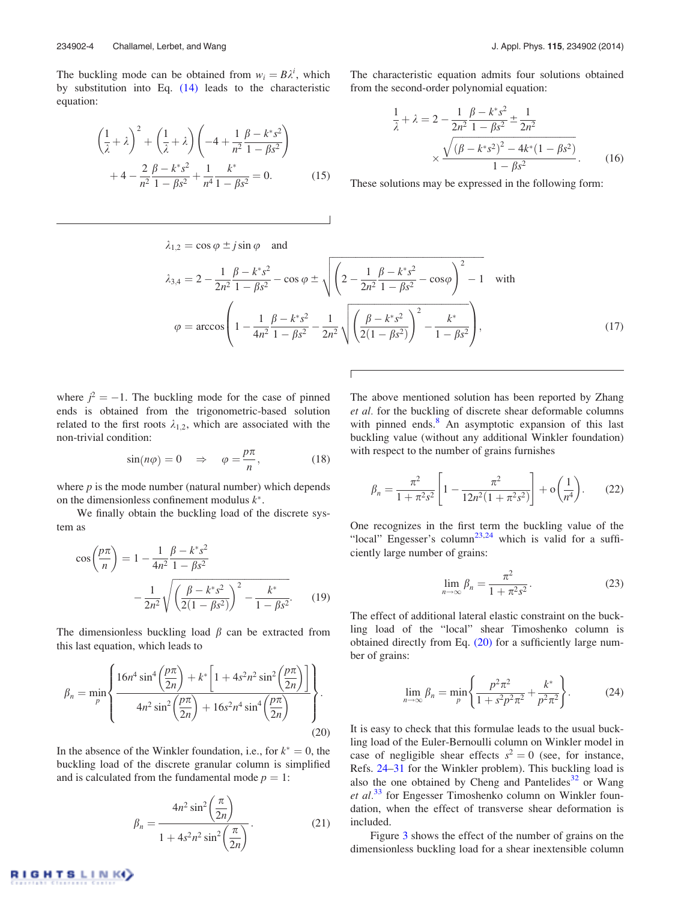<span id="page-4-0"></span>The buckling mode can be obtained from  $w_i = B\lambda^i$ , which by substitution into Eq. [\(14\)](#page-3-0) leads to the characteristic equation:

$$
\left(\frac{1}{\lambda} + \lambda\right)^2 + \left(\frac{1}{\lambda} + \lambda\right)\left(-4 + \frac{1}{n^2}\frac{\beta - k^*s^2}{1 - \beta s^2}\right) + 4 - \frac{2}{n^2}\frac{\beta - k^*s^2}{1 - \beta s^2} + \frac{1}{n^4}\frac{k^*}{1 - \beta s^2} = 0.
$$
 (15)

$$
\lambda_{1,2} = \cos \varphi \pm j \sin \varphi \quad \text{and} \quad
$$

The characteristic equation admits four solutions obtained from the second-order polynomial equation:

$$
\frac{1}{\lambda} + \lambda = 2 - \frac{1}{2n^2} \frac{\beta - k^* s^2}{1 - \beta s^2} \pm \frac{1}{2n^2}
$$

$$
\times \frac{\sqrt{(\beta - k^* s^2)^2 - 4k^* (1 - \beta s^2)}}{1 - \beta s^2}.
$$
(16)

These solutions may be expressed in the following form:

$$
\lambda_{3,4} = 2 - \frac{1}{2n^2} \frac{\beta - k^* s^2}{1 - \beta s^2} - \cos \varphi \pm \sqrt{\left(2 - \frac{1}{2n^2} \frac{\beta - k^* s^2}{1 - \beta s^2} - \cos \varphi\right)^2 - 1} \quad \text{with}
$$
\n
$$
\varphi = \arccos\left(1 - \frac{1}{4n^2} \frac{\beta - k^* s^2}{1 - \beta s^2} - \frac{1}{2n^2} \sqrt{\left(\frac{\beta - k^* s^2}{2(1 - \beta s^2)}\right)^2 - \frac{k^*}{1 - \beta s^2}}\right),\tag{17}
$$

Г

where  $j^2 = -1$ . The buckling mode for the case of pinned ends is obtained from the trigonometric-based solution related to the first roots  $\lambda_{1,2}$ , which are associated with the non-trivial condition:

$$
\sin(n\varphi) = 0 \quad \Rightarrow \quad \varphi = \frac{p\pi}{n}, \tag{18}
$$

where  $p$  is the mode number (natural number) which depends on the dimensionless confinement modulus  $k^*$ .

We finally obtain the buckling load of the discrete system as

$$
\cos\left(\frac{p\pi}{n}\right) = 1 - \frac{1}{4n^2} \frac{\beta - k^* s^2}{1 - \beta s^2} - \frac{1}{2n^2} \sqrt{\left(\frac{\beta - k^* s^2}{2(1 - \beta s^2)}\right)^2 - \frac{k^*}{1 - \beta s^2}}.
$$
 (19)

The dimensionless buckling load  $\beta$  can be extracted from this last equation, which leads to

$$
\beta_n = \min_{p} \left\{ \frac{16n^4 \sin^4\left(\frac{p\pi}{2n}\right) + k^* \left[1 + 4s^2 n^2 \sin^2\left(\frac{p\pi}{2n}\right)\right]}{4n^2 \sin^2\left(\frac{p\pi}{2n}\right) + 16s^2 n^4 \sin^4\left(\frac{p\pi}{2n}\right)} \right\}.
$$
\n(20)

In the absence of the Winkler foundation, i.e., for  $k^* = 0$ , the buckling load of the discrete granular column is simplified and is calculated from the fundamental mode  $p = 1$ :

$$
\beta_n = \frac{4n^2 \sin^2\left(\frac{\pi}{2n}\right)}{1 + 4s^2 n^2 \sin^2\left(\frac{\pi}{2n}\right)}.
$$
\n(21)

The above mentioned solution has been reported by Zhang et al. for the buckling of discrete shear deformable columns with pinned ends. $8$  An asymptotic expansion of this last buckling value (without any additional Winkler foundation) with respect to the number of grains furnishes

$$
\beta_n = \frac{\pi^2}{1 + \pi^2 s^2} \left[ 1 - \frac{\pi^2}{12n^2(1 + \pi^2 s^2)} \right] + o\left(\frac{1}{n^4}\right). \tag{22}
$$

One recognizes in the first term the buckling value of the "local" Engesser's column<sup>[23,24](#page-8-0)</sup> which is valid for a sufficiently large number of grains:

$$
\lim_{n \to \infty} \beta_n = \frac{\pi^2}{1 + \pi^2 s^2}.
$$
\n(23)

The effect of additional lateral elastic constraint on the buckling load of the "local" shear Timoshenko column is obtained directly from Eq. (20) for a sufficiently large number of grains:

$$
\lim_{n \to \infty} \beta_n = \min_p \left\{ \frac{p^2 \pi^2}{1 + s^2 p^2 \pi^2} + \frac{k^*}{p^2 \pi^2} \right\}.
$$
 (24)

It is easy to check that this formulae leads to the usual buckling load of the Euler-Bernoulli column on Winkler model in case of negligible shear effects  $s^2 = 0$  (see, for instance, Refs. [24–31](#page-8-0) for the Winkler problem). This buckling load is also the one obtained by Cheng and Pantelides $32$  or Wang et  $al^{33}$  $al^{33}$  $al^{33}$  for Engesser Timoshenko column on Winkler foundation, when the effect of transverse shear deformation is included.

Figure [3](#page-5-0) shows the effect of the number of grains on the dimensionless buckling load for a shear inextensible column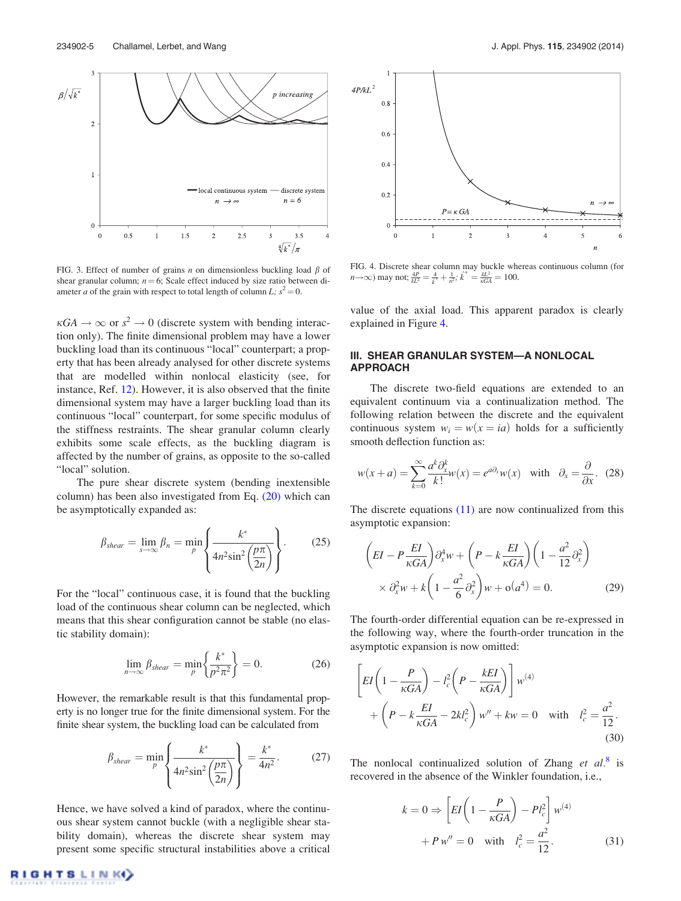<span id="page-5-0"></span>

FIG. 3. Effect of number of grains *n* on dimensionless buckling load  $\beta$  of shear granular column;  $n = 6$ ; Scale effect induced by size ratio between diameter a of the grain with respect to total length of column L;  $s^2 = 0$ .

 $\kappa GA \rightarrow \infty$  or  $s^2 \rightarrow 0$  (discrete system with bending interaction only). The finite dimensional problem may have a lower buckling load than its continuous "local" counterpart; a property that has been already analysed for other discrete systems that are modelled within nonlocal elasticity (see, for instance, Ref. [12\)](#page-8-0). However, it is also observed that the finite dimensional system may have a larger buckling load than its continuous "local" counterpart, for some specific modulus of the stiffness restraints. The shear granular column clearly exhibits some scale effects, as the buckling diagram is affected by the number of grains, as opposite to the so-called "local" solution.

The pure shear discrete system (bending inextensible column) has been also investigated from Eq. [\(20\)](#page-4-0) which can be asymptotically expanded as:

$$
\beta_{shear} = \lim_{s \to \infty} \beta_n = \min_{p} \left\{ \frac{k^*}{4n^2 \sin^2 \left(\frac{p\pi}{2n}\right)} \right\}.
$$
 (25)

For the "local" continuous case, it is found that the buckling load of the continuous shear column can be neglected, which means that this shear configuration cannot be stable (no elastic stability domain):

$$
\lim_{n \to \infty} \beta_{shear} = \min_{p} \left\{ \frac{k^*}{p^2 \pi^2} \right\} = 0.
$$
 (26)

However, the remarkable result is that this fundamental property is no longer true for the finite dimensional system. For the finite shear system, the buckling load can be calculated from

$$
\beta_{shear} = \min_{p} \left\{ \frac{k^*}{4n^2 \sin^2 \left(\frac{p\pi}{2n}\right)} \right\} = \frac{k^*}{4n^2}.
$$
 (27)

Hence, we have solved a kind of paradox, where the continuous shear system cannot buckle (with a negligible shear stability domain), whereas the discrete shear system may present some specific structural instabilities above a critical



FIG. 4. Discrete shear column may buckle whereas continuous column (for  $n \rightarrow \infty$ ) may not;  $\frac{4P}{kL^2} = \frac{4}{k^*} + \frac{1}{n^2}$ ;  $\hat{k}^* = \frac{kL^2}{\kappa GA} = 100$ .

value of the axial load. This apparent paradox is clearly explained in Figure 4.

### III. SHEAR GRANULAR SYSTEM—A NONLOCAL APPROACH

The discrete two-field equations are extended to an equivalent continuum via a continualization method. The following relation between the discrete and the equivalent continuous system  $w_i = w(x = ia)$  holds for a sufficiently smooth deflection function as:

$$
w(x+a) = \sum_{k=0}^{\infty} \frac{a^k \partial_x^k}{k!} w(x) = e^{a \partial_x^k} w(x) \quad \text{with} \quad \partial_x = \frac{\partial}{\partial x}. \tag{28}
$$

The discrete equations [\(11\)](#page-3-0) are now continualized from this asymptotic expansion:

$$
\left( EI - P \frac{EI}{\kappa GA} \right) \partial_x^4 w + \left( P - k \frac{EI}{\kappa GA} \right) \left( 1 - \frac{a^2}{12} \partial_x^2 \right) \times \partial_x^2 w + k \left( 1 - \frac{a^2}{6} \partial_x^2 \right) w + o(a^4) = 0.
$$
 (29)

The fourth-order differential equation can be re-expressed in the following way, where the fourth-order truncation in the asymptotic expansion is now omitted:

$$
\left[EI\left(1-\frac{P}{\kappa GA}\right)-l_c^2\left(P-\frac{kEI}{\kappa GA}\right)\right]w^{(4)} + \left(P-k\frac{EI}{\kappa GA}-2kl_c^2\right)w'' + kw = 0 \text{ with } l_c^2 = \frac{a^2}{12}.
$$
\n(30)

The nonlocal continualized solution of Zhang *et al.*<sup>[8](#page-8-0)</sup> is recovered in the absence of the Winkler foundation, i.e.,

$$
k = 0 \Rightarrow \left[ EI \left( 1 - \frac{P}{\kappa GA} \right) - Pl_c^2 \right] w^{(4)}
$$
  
+  $P w'' = 0$  with  $l_c^2 = \frac{a^2}{12}$ . (31)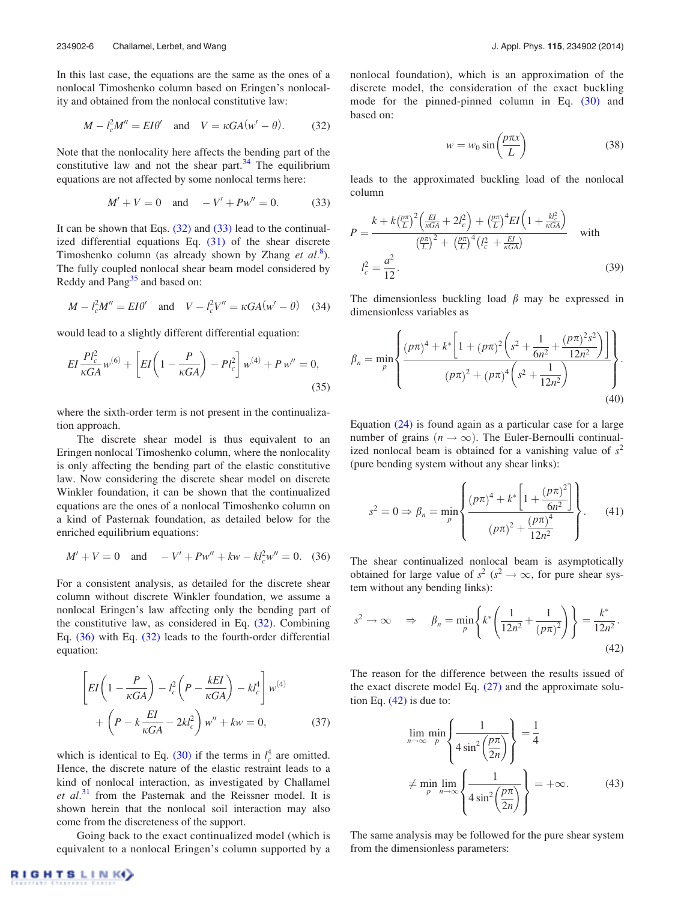<span id="page-6-0"></span>In this last case, the equations are the same as the ones of a nonlocal Timoshenko column based on Eringen's nonlocality and obtained from the nonlocal constitutive law:

$$
M - lc2M'' = EI\theta' \text{ and } V = \kappa GA(w' - \theta).
$$
 (32)

Note that the nonlocality here affects the bending part of the constitutive law and not the shear part. $34$  The equilibrium equations are not affected by some nonlocal terms here:

$$
M' + V = 0
$$
 and  $-V' + Pw'' = 0.$  (33)

It can be shown that Eqs.  $(32)$  and  $(33)$  lead to the continualized differential equations Eq. [\(31\)](#page-5-0) of the shear discrete Timoshenko column (as already shown by Zhang et  $al$ .<sup>[8](#page-8-0)</sup>). The fully coupled nonlocal shear beam model considered by Reddy and  $Pang<sup>35</sup>$  $Pang<sup>35</sup>$  $Pang<sup>35</sup>$  and based on:

$$
M - l_c^2 M'' = EI\theta' \quad \text{and} \quad V - l_c^2 V'' = \kappa GA(w' - \theta) \quad (34)
$$

would lead to a slightly different differential equation:

$$
EI\frac{Pl_c^2}{\kappa GA}w^{(6)} + \left[EI\left(1 - \frac{P}{\kappa GA}\right) - Pl_c^2\right]w^{(4)} + Pw'' = 0,
$$
\n(35)

where the sixth-order term is not present in the continualization approach.

The discrete shear model is thus equivalent to an Eringen nonlocal Timoshenko column, where the nonlocality is only affecting the bending part of the elastic constitutive law. Now considering the discrete shear model on discrete Winkler foundation, it can be shown that the continualized equations are the ones of a nonlocal Timoshenko column on a kind of Pasternak foundation, as detailed below for the enriched equilibrium equations:

$$
M' + V = 0
$$
 and  $-V' + P w'' + k w - k l_c^2 w'' = 0.$  (36)

For a consistent analysis, as detailed for the discrete shear column without discrete Winkler foundation, we assume a nonlocal Eringen's law affecting only the bending part of the constitutive law, as considered in Eq.  $(32)$ . Combining Eq. (36) with Eq. (32) leads to the fourth-order differential equation:

$$
\left[EI\left(1-\frac{P}{\kappa GA}\right)-l_c^2\left(P-\frac{kEI}{\kappa GA}\right)-kl_c^4\right]w^{(4)}
$$

$$
+\left(P-k\frac{EI}{\kappa GA}-2kl_c^2\right)w''+kw=0,
$$
 (37)

which is identical to Eq. [\(30\)](#page-5-0) if the terms in  $l_c^4$  are omitted. Hence, the discrete nature of the elastic restraint leads to a kind of nonlocal interaction, as investigated by Challamel et  $al$ .<sup>[31](#page-8-0)</sup> from the Pasternak and the Reissner model. It is shown herein that the nonlocal soil interaction may also come from the discreteness of the support.

Going back to the exact continualized model (which is equivalent to a nonlocal Eringen's column supported by a nonlocal foundation), which is an approximation of the discrete model, the consideration of the exact buckling mode for the pinned-pinned column in Eq. [\(30\)](#page-5-0) and based on:

$$
w = w_0 \sin\left(\frac{p\pi x}{L}\right) \tag{38}
$$

leads to the approximated buckling load of the nonlocal column

$$
P = \frac{k + k\left(\frac{p\pi}{L}\right)^2 \left(\frac{EI}{\kappa GA} + 2l_c^2\right) + \left(\frac{p\pi}{L}\right)^4 EI \left(1 + \frac{kl_c^2}{\kappa GA}\right)}{\left(\frac{p\pi}{L}\right)^2 + \left(\frac{p\pi}{L}\right)^4 \left(l_c^2 + \frac{EI}{\kappa GA}\right)}
$$
 with  

$$
l_c^2 = \frac{a^2}{12}.
$$
 (39)

The dimensionless buckling load  $\beta$  may be expressed in dimensionless variables as

$$
\beta_n = \min_{p} \left\{ \frac{(p\pi)^4 + k^* \left[ 1 + (p\pi)^2 \left( s^2 + \frac{1}{6n^2} + \frac{(p\pi)^2 s^2}{12n^2} \right) \right]}{(p\pi)^2 + (p\pi)^4 \left( s^2 + \frac{1}{12n^2} \right)} \right\}.
$$
\n(40)

Equation [\(24\)](#page-4-0) is found again as a particular case for a large number of grains  $(n \to \infty)$ . The Euler-Bernoulli continualized nonlocal beam is obtained for a vanishing value of  $s<sup>2</sup>$ (pure bending system without any shear links):

$$
s^{2} = 0 \Rightarrow \beta_{n} = \min_{p} \left\{ \frac{(p\pi)^{4} + k^{*} \left[ 1 + \frac{(p\pi)^{2}}{6n^{2}} \right]}{(p\pi)^{2} + \frac{(p\pi)^{4}}{12n^{2}}} \right\}.
$$
 (41)

The shear continualized nonlocal beam is asymptotically obtained for large value of  $s^2$  ( $s^2 \rightarrow \infty$ , for pure shear system without any bending links):

$$
s^2 \to \infty \quad \Rightarrow \quad \beta_n = \min_p \left\{ k^* \left( \frac{1}{12n^2} + \frac{1}{(p\pi)^2} \right) \right\} = \frac{k^*}{12n^2}.
$$
\n(42)

The reason for the difference between the results issued of the exact discrete model Eq. [\(27\)](#page-5-0) and the approximate solution Eq.  $(42)$  is due to:

$$
\lim_{n \to \infty} \min_{p} \left\{ \frac{1}{4 \sin^2 \left( \frac{p\pi}{2n} \right)} \right\} = \frac{1}{4}
$$
\n
$$
\neq \min_{p} \lim_{n \to \infty} \left\{ \frac{1}{4 \sin^2 \left( \frac{p\pi}{2n} \right)} \right\} = +\infty. \tag{43}
$$

The same analysis may be followed for the pure shear system from the dimensionless parameters: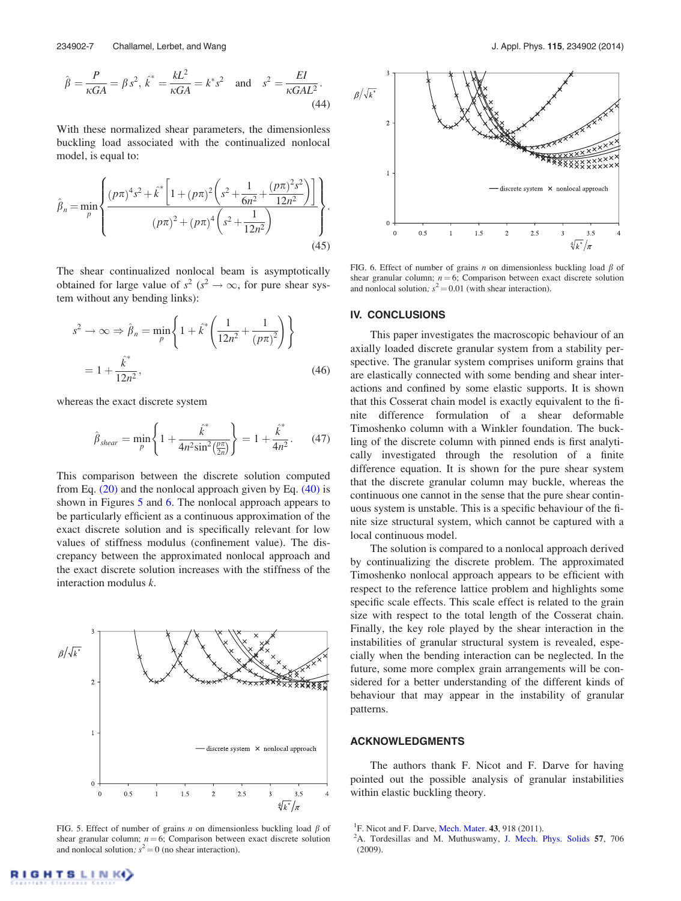<span id="page-7-0"></span>
$$
\hat{\beta} = \frac{P}{\kappa GA} = \beta s^2, \ \hat{k}^* = \frac{kL^2}{\kappa GA} = k^* s^2 \text{ and } s^2 = \frac{EI}{\kappa GAL^2}.
$$
\n(44)

With these normalized shear parameters, the dimensionless buckling load associated with the continualized nonlocal model, is equal to:

$$
\hat{\beta}_n = \min_{p} \left\{ \frac{(p\pi)^4 s^2 + \hat{k}^* \left[ 1 + (p\pi)^2 \left( s^2 + \frac{1}{6n^2} + \frac{(p\pi)^2 s^2}{12n^2} \right) \right]}{(p\pi)^2 + (p\pi)^4 \left( s^2 + \frac{1}{12n^2} \right)} \right\}.
$$
\n(45)

The shear continualized nonlocal beam is asymptotically obtained for large value of  $s^2$  ( $s^2 \rightarrow \infty$ , for pure shear system without any bending links):

$$
s^{2} \to \infty \Rightarrow \hat{\beta}_{n} = \min_{p} \left\{ 1 + \hat{k}^{*} \left( \frac{1}{12n^{2}} + \frac{1}{(p\pi)^{2}} \right) \right\}
$$
  
=  $1 + \frac{\hat{k}^{*}}{12n^{2}},$  (46)

whereas the exact discrete system

$$
\hat{\beta}_{shear} = \min_{p} \left\{ 1 + \frac{\hat{k}^*}{4n^2 \sin^2(\frac{p\pi}{2n})} \right\} = 1 + \frac{\hat{k}^*}{4n^2}.
$$
 (47)

This comparison between the discrete solution computed from Eq.  $(20)$  and the nonlocal approach given by Eq.  $(40)$  is shown in Figures 5 and 6. The nonlocal approach appears to be particularly efficient as a continuous approximation of the exact discrete solution and is specifically relevant for low values of stiffness modulus (confinement value). The discrepancy between the approximated nonlocal approach and the exact discrete solution increases with the stiffness of the interaction modulus k.



FIG. 5. Effect of number of grains *n* on dimensionless buckling load  $\beta$  of shear granular column;  $n = 6$ ; Comparison between exact discrete solution and nonlocal solution;  $s^2 = 0$  (no shear interaction).



FIG. 6. Effect of number of grains *n* on dimensionless buckling load  $\beta$  of shear granular column;  $n = 6$ ; Comparison between exact discrete solution and nonlocal solution;  $s^2 = 0.01$  (with shear interaction).

#### IV. CONCLUSIONS

This paper investigates the macroscopic behaviour of an axially loaded discrete granular system from a stability perspective. The granular system comprises uniform grains that are elastically connected with some bending and shear interactions and confined by some elastic supports. It is shown that this Cosserat chain model is exactly equivalent to the finite difference formulation of a shear deformable Timoshenko column with a Winkler foundation. The buckling of the discrete column with pinned ends is first analytically investigated through the resolution of a finite difference equation. It is shown for the pure shear system that the discrete granular column may buckle, whereas the continuous one cannot in the sense that the pure shear continuous system is unstable. This is a specific behaviour of the finite size structural system, which cannot be captured with a local continuous model.

The solution is compared to a nonlocal approach derived by continualizing the discrete problem. The approximated Timoshenko nonlocal approach appears to be efficient with respect to the reference lattice problem and highlights some specific scale effects. This scale effect is related to the grain size with respect to the total length of the Cosserat chain. Finally, the key role played by the shear interaction in the instabilities of granular structural system is revealed, especially when the bending interaction can be neglected. In the future, some more complex grain arrangements will be considered for a better understanding of the different kinds of behaviour that may appear in the instability of granular patterns.

#### ACKNOWLEDGMENTS

The authors thank F. Nicot and F. Darve for having pointed out the possible analysis of granular instabilities within elastic buckling theory.

<sup>&</sup>lt;sup>1</sup>F. Nicot and F. Darve, <u>[Mech. Mater.](http://dx.doi.org/10.1016/j.mechmat.2011.07.006)</u> 43, 918 (2011).

<sup>&</sup>lt;sup>2</sup>A. Tordesillas and M. Muthuswamy, [J. Mech. Phys. Solids](http://dx.doi.org/10.1016/j.jmps.2009.01.005) 57, 706 (2009).